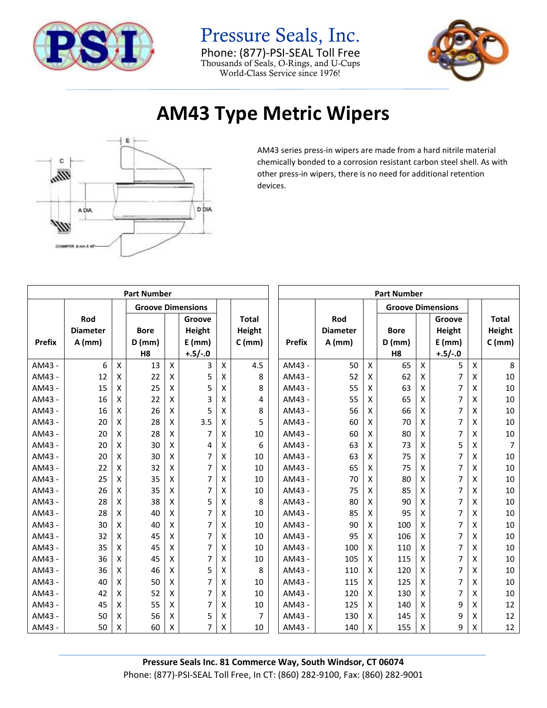

Pressure Seals, Inc. Phone: (877)-PSI-SEAL Toll Free Thousands of Seals, O-Rings, and U-Cups World-Class Service since 1976!



## **AM43 Type Metric Wipers**



AM43 series press-in wipers are made from a hard nitrile material chemically bonded to a corrosion resistant carbon steel shell. As with other press-in wipers, there is no need for additional retention devices.

| <b>Part Number</b> |                 |                          |                |   |                |   |              | <b>Part Number</b>       |                 |                    |                |                    |           |                    |                |
|--------------------|-----------------|--------------------------|----------------|---|----------------|---|--------------|--------------------------|-----------------|--------------------|----------------|--------------------|-----------|--------------------|----------------|
|                    |                 | <b>Groove Dimensions</b> |                |   |                |   |              | <b>Groove Dimensions</b> |                 |                    |                |                    |           |                    |                |
|                    | Rod             |                          |                |   | Groove         |   | <b>Total</b> |                          | Rod             |                    |                |                    | Groove    |                    | Total          |
|                    | <b>Diameter</b> |                          | <b>Bore</b>    |   | Height         |   | Height       |                          | <b>Diameter</b> |                    | <b>Bore</b>    |                    | Height    |                    | Height         |
| <b>Prefix</b>      | $A$ (mm)        |                          | $D$ (mm)       |   | $E$ (mm)       |   | $C$ (mm)     | <b>Prefix</b>            | $A$ (mm)        |                    | $D$ (mm)       |                    | $E$ (mm)  |                    | $C$ (mm)       |
|                    |                 |                          | H <sub>8</sub> |   | $+.5/-.0$      |   |              |                          |                 |                    | H <sub>8</sub> |                    | $+.5/-.0$ |                    |                |
| AM43 -             | 6               | $\mathsf{x}$             | 13             | X | 3              | X | 4.5          | AM43 -                   | 50              | $\pmb{\mathsf{X}}$ | 65             | $\pmb{\mathsf{X}}$ | 5         | $\pmb{\mathsf{X}}$ | 8              |
| AM43 -             | 12              | X                        | 22             | X | 5              | x | 8            | AM43 -                   | 52              | X                  | 62             | X                  | 7         | X                  | 10             |
| AM43 -             | 15              | X                        | 25             | X | 5              | X | 8            | AM43 -                   | 55              | X                  | 63             | X                  | 7         | X                  | 10             |
| AM43 -             | 16              | X                        | 22             | X | 3              | x | 4            | AM43 -                   | 55              | X                  | 65             | X                  | 7         | X                  | 10             |
| AM43 -             | 16              | X                        | 26             | X | 5              | X | 8            | AM43 -                   | 56              | X                  | 66             | X                  | 7         | X                  | 10             |
| AM43 -             | 20              | X                        | 28             | X | 3.5            | x | 5            | AM43 -                   | 60              | X                  | 70             | X                  | 7         | x                  | 10             |
| AM43 -             | 20              | X                        | 28             | X | $\overline{7}$ | x | 10           | AM43 -                   | 60              | X                  | 80             | X                  | 7         | X                  | 10             |
| AM43 -             | 20              | X                        | 30             | X | 4              | x | 6            | AM43 -                   | 63              | X                  | 73             | X                  | 5         | X                  | $\overline{7}$ |
| AM43 -             | 20              | X                        | 30             | X | 7              | Χ | 10           | AM43 -                   | 63              | X                  | 75             | X                  | 7         | X                  | 10             |
| AM43 -             | 22              | X                        | 32             | X | $\overline{7}$ | Χ | 10           | AM43 -                   | 65              | x                  | 75             | X                  | 7         | X                  | 10             |
| AM43 -             | 25              | X                        | 35             | X | $\overline{7}$ | x | 10           | AM43 -                   | 70              | X                  | 80             | X                  | 7         | X                  | 10             |
| AM43 -             | 26              | X                        | 35             | X | $\overline{7}$ | x | 10           | AM43 -                   | 75              | X                  | 85             | X                  | 7         | X                  | 10             |
| AM43 -             | 28              | X                        | 38             | X | 5              | x | 8            | AM43 -                   | 80              | X                  | 90             | X                  | 7         | X                  | 10             |
| AM43 -             | 28              | X                        | 40             | X | $\overline{7}$ | Χ | 10           | AM43 -                   | 85              | X                  | 95             | X                  | 7         | X                  | 10             |
| AM43 -             | 30              | x                        | 40             | X | $\overline{7}$ | Χ | 10           | AM43 -                   | 90              | Χ                  | 100            | X                  | 7         | x                  | 10             |
| AM43 -             | 32              | X                        | 45             | X | $\overline{7}$ | X | 10           | AM43 -                   | 95              | X                  | 106            | X                  | 7         | X                  | 10             |
| AM43 -             | 35              | X                        | 45             | X | $\overline{7}$ | x | 10           | AM43 -                   | 100             | x                  | 110            | X                  | 7         | X                  | 10             |
| AM43 -             | 36              | X                        | 45             | X | 7              | Χ | 10           | AM43 -                   | 105             | X                  | 115            | X                  | 7         | X                  | 10             |
| AM43 -             | 36              | X                        | 46             | X | 5              | Χ | 8            | AM43 -                   | 110             | Χ                  | 120            | X                  | 7         | X                  | 10             |
| AM43 -             | 40              | X                        | 50             | X | $\overline{7}$ | Χ | 10           | AM43 -                   | 115             | x                  | 125            | X                  | 7         | X                  | 10             |
| AM43 -             | 42              | X                        | 52             | X | 7              | x | 10           | AM43 -                   | 120             | x                  | 130            | X                  | 7         | X                  | 10             |
| AM43 -             | 45              | X                        | 55             | X | 7              | Χ | 10           | AM43 -                   | 125             | X                  | 140            | X                  | 9         | X                  | 12             |
| AM43 -             | 50              | X                        | 56             | X | 5              | Χ | 7            | AM43 -                   | 130             | X                  | 145            | X                  | 9         | X                  | 12             |
| AM43 -             | 50              | x                        | 60             | X | 7              | x | 10           | AM43 -                   | 140             | X                  | 155            | X                  | 9         | X                  | 12             |